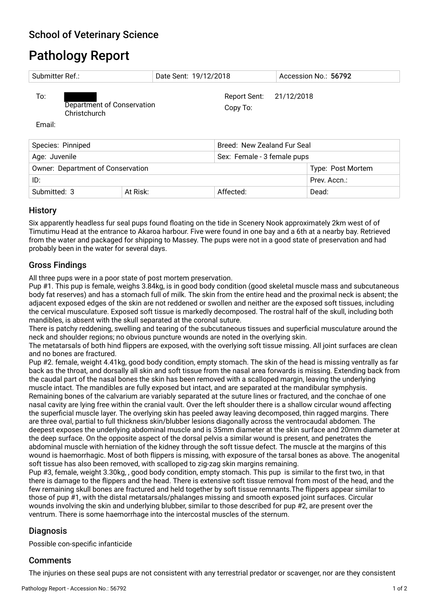# Pathology Report

| Submitter Ref.:                   |                                            |          | Date Sent: 19/12/2018               | Accession No.: 56792        |  |
|-----------------------------------|--------------------------------------------|----------|-------------------------------------|-----------------------------|--|
| To:<br>Email:                     | Department of Conservation<br>Christchurch |          | Report Sent: 21/12/2018<br>Copy To: |                             |  |
| Species: Pinniped                 |                                            |          |                                     | Breed: New Zealand Fur Seal |  |
| Age: Juvenile                     |                                            |          |                                     | Sex: Female - 3 female pups |  |
| Owner: Department of Conservation |                                            |          |                                     | Type: Post Mortem           |  |
| ID:                               |                                            |          |                                     | Prev. Accn.:                |  |
| Submitted: 3                      |                                            | At Risk: | Affected:                           | Dead:                       |  |

## **History**

Six apparently headless fur seal pups found foating on the tide in Scenery Nook approximately 2km west of of Timutimu Head at the entrance to Akaroa harbour. Five were found in one bay and a 6th at a nearby bay. Retrieved from the water and packaged for shipping to Massey. The pups were not in a good state of preservation and had probably been in the water for several days.

## Gross Findings

All three pups were in a poor state of post mortem preservation.

Pup #1. This pup is female, weighs 3.84kg, is in good body condition (good skeletal muscle mass and subcutaneous body fat reserves) and has a stomach full of milk. The skin from the entire head and the proximal neck is absent; the adjacent exposed edges of the skin are not reddened or swollen and neither are the exposed soft tissues, including the cervical musculature. Exposed soft tissue is markedly decomposed. The rostral half of the skull, including both mandibles, is absent with the skull separated at the coronal suture.

There is patchy reddening, swelling and tearing of the subcutaneous tissues and superfcial musculature around the neck and shoulder regions; no obvious puncture wounds are noted in the overlying skin.

The metatarsals of both hind fippers are exposed, with the overlying soft tissue missing. All joint surfaces are clean and no bones are fractured.

Pup #2. female, weight 4.41kg, good body condition, empty stomach. The skin of the head is missing ventrally as far back as the throat, and dorsally all skin and soft tissue from the nasal area forwards is missing. Extending back from the caudal part of the nasal bones the skin has been removed with a scalloped margin, leaving the underlying muscle intact. The mandibles are fully exposed but intact, and are separated at the mandibular symphysis. Remaining bones of the calvarium are variably separated at the suture lines or fractured, and the conchae of one nasal cavity are lying free within the cranial vault. Over the left shoulder there is a shallow circular wound affecting the superfcial muscle layer. The overlying skin has peeled away leaving decomposed, thin ragged margins. There are three oval, partial to full thickness skin/blubber lesions diagonally across the ventrocaudal abdomen. The deepest exposes the underlying abdominal muscle and is 35mm diameter at the skin surface and 20mm diameter at the deep surface. On the opposite aspect of the dorsal pelvis a similar wound is present, and penetrates the abdominal muscle with herniation of the kidney through the soft tissue defect. The muscle at the margins of this wound is haemorrhagic. Most of both fippers is missing, with exposure of the tarsal bones as above. The anogenital soft tissue has also been removed, with scalloped to zig-zag skin margins remaining.

Pup #3, female, weight 3.30kg, , good body condition, empty stomach. This pup is similar to the frst two, in that there is damage to the fippers and the head. There is extensive soft tissue removal from most of the head, and the few remaining skull bones are fractured and held together by soft tissue remnants.The fippers appear similar to those of pup #1, with the distal metatarsals/phalanges missing and smooth exposed joint surfaces. Circular wounds involving the skin and underlying blubber, similar to those described for pup #2, are present over the ventrum. There is some haemorrhage into the intercostal muscles of the sternum.

## Diagnosis

Possible con-specifc infanticide

## **Comments**

The injuries on these seal pups are not consistent with any terrestrial predator or scavenger, nor are they consistent